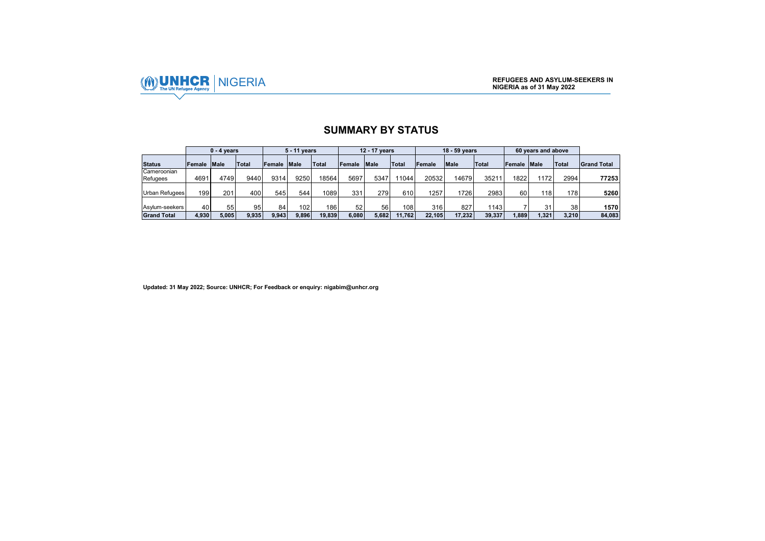

## **SUMMARY BY STATUS**

|                         |             | $0 - 4$ years |              |             | 5 - 11 years |        |        | 12 - 17 vears |        |        | 18 - 59 years |              |        | 60 years and above |                 |                    |
|-------------------------|-------------|---------------|--------------|-------------|--------------|--------|--------|---------------|--------|--------|---------------|--------------|--------|--------------------|-----------------|--------------------|
| <b>Status</b>           | Female Male |               | <b>Total</b> | Female Male |              | Total  | Female | Male          | Total  | Female | Male          | <b>Total</b> | Female | <b>Male</b>        | <b>Total</b>    | <b>Grand Total</b> |
| Cameroonian<br>Refugees | 4691        | 4749          | 9440         | 9314        | 9250         | 18564  | 5697   | 5347          | 11044  | 20532  | 14679         | 35211        | 1822   | 1172               | 2994            | 772531             |
| Urban Refugees          | 199         | 201           | 400          | 545         | 544          | 1089   | 331    | 279           | 610    | 1257   | 1726          | 2983         | 60     | 118                | 1781            | 5260               |
| Asylum-seekers          | 40          | 55            | 95           | 84          | 102          | 186    | 52     | 56            | 108    | 316    | 827           | 1143         |        | 31                 | 38 <sub>1</sub> | 1570               |
| <b>Grand Total</b>      | 4.930       | 5.005         | 9.935        | 9.943       | 9.896        | 19.839 | 6.080  | 5.682         | 11.762 | 22.105 | 17.232        | 39.337       | .889   | 1.321              | 3.210           | 84.083             |

**Updated: 31 May 2022; Source: UNHCR; For Feedback or enquiry: nigabim@unhcr.org**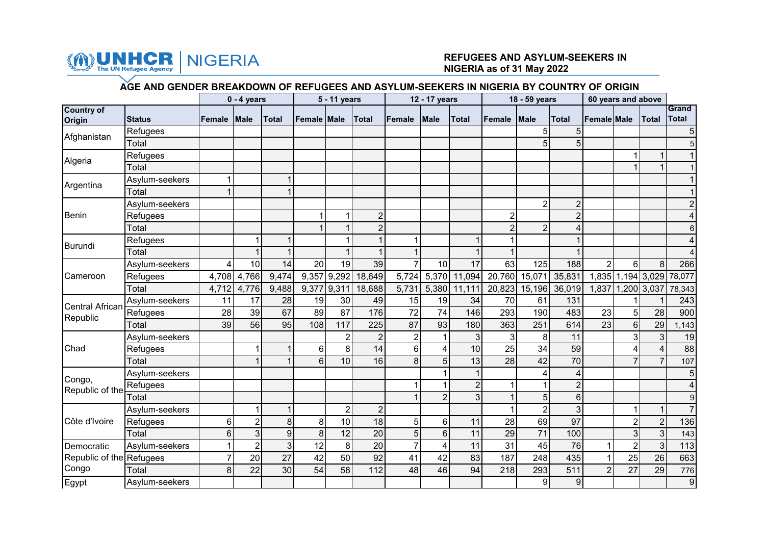

## NIGERIA **REFUGEES AND ASYLUM-SEEKERS IN NIGERIA as of 31 May 2022**

## **AGE AND GENDER BREAKDOWN OF REFUGEES AND ASYLUM-SEEKERS IN NIGERIA BY COUNTRY OF ORIGIN**

|                          |                |        | $0 - 4$ years   |       |                    | 5 - 11 years   |                |                 | 12 - 17 years  |                |                | 18 - 59 years  |                | 60 years and above |                   |                         |                  |
|--------------------------|----------------|--------|-----------------|-------|--------------------|----------------|----------------|-----------------|----------------|----------------|----------------|----------------|----------------|--------------------|-------------------|-------------------------|------------------|
| <b>Country of</b>        |                |        |                 |       |                    |                |                |                 |                |                |                |                |                |                    |                   |                         | Grand            |
| Origin                   | <b>Status</b>  | Female | <b>Male</b>     | Total | <b>Female Male</b> |                | <b>Total</b>   | <b>Female</b>   | <b>Male</b>    | <b>Total</b>   | <b>Female</b>  | <b>Male</b>    | <b>Total</b>   | <b>Female Male</b> |                   | <b>Total</b>            | <b>Total</b>     |
| Afghanistan              | Refugees       |        |                 |       |                    |                |                |                 |                |                |                | 5              |                |                    |                   |                         | 5                |
|                          | Total          |        |                 |       |                    |                |                |                 |                |                |                | 5              | 5              |                    |                   |                         | 5                |
| Algeria                  | Refugees       |        |                 |       |                    |                |                |                 |                |                |                |                |                |                    | 1                 |                         | $\mathbf 1$      |
|                          | Total          |        |                 |       |                    |                |                |                 |                |                |                |                |                |                    | 1                 |                         |                  |
| Argentina                | Asylum-seekers |        |                 |       |                    |                |                |                 |                |                |                |                |                |                    |                   |                         |                  |
|                          | Total          |        |                 |       |                    |                |                |                 |                |                |                |                |                |                    |                   |                         |                  |
|                          | Asylum-seekers |        |                 |       |                    |                |                |                 |                |                |                | $\overline{2}$ | $\overline{2}$ |                    |                   |                         | $\overline{2}$   |
| <b>Benin</b>             | Refugees       |        |                 |       |                    |                | $\overline{2}$ |                 |                |                | $\overline{c}$ |                |                |                    |                   |                         | 4                |
|                          | Total          |        |                 |       |                    |                | $\overline{2}$ |                 |                |                | $\overline{2}$ | $\overline{2}$ |                |                    |                   |                         | 6                |
| Burundi                  | Refugees       |        |                 |       |                    |                |                |                 |                |                |                |                |                |                    |                   |                         |                  |
|                          | Total          |        |                 |       |                    |                |                |                 |                |                |                |                |                |                    |                   |                         |                  |
|                          | Asylum-seekers |        | 10              | 14    | 20                 | 19             | 39             |                 | 10             | 17             | 63             | 125            | 188            | $\overline{2}$     | 6                 | 8                       | 266              |
| Cameroon                 | Refugees       | 4,708  | 4,766           | 9,474 |                    | 9,357 9,292    | 18,649         | 5,724           | 5,370          | 11,094         |                | 20,760 15,071  | 35,831         |                    | 1,835 1,194 3,029 |                         | 78,077           |
|                          | Total          | 4,712  | 4,776           | 9,488 | 9,377              | 9,311          | 18,688         | 5,731           | 5,380          | 11,111         | 20,823         | 15,196         | 36,019         |                    | 1,837 1,200 3,037 |                         | 78,343           |
| <b>Central African</b>   | Asylum-seekers | 11     | 17              | 28    | 19                 | 30             | 49             | 15              | 19             | 34             | 70             | 61             | 131            |                    |                   |                         | 243              |
| Republic                 | Refugees       | 28     | 39              | 67    | 89                 | 87             | 176            | 72              | 74             | 146            | 293            | 190            | 483            | 23                 | 5                 | 28                      | 900              |
|                          | Total          | 39     | $\overline{56}$ | 95    | 108                | 117            | 225            | $\overline{87}$ | 93             | 180            | 363            | 251            | 614            | 23                 | 6                 | 29                      | 1,143            |
|                          | Asylum-seekers |        |                 |       |                    | 2              | $\overline{2}$ | $\overline{2}$  |                | 3              | 3              | 8              | 11             |                    | 3                 | 3                       | 19               |
| Chad                     | Refugees       |        |                 |       | 6                  | 8              | 14             | 6 <sup>1</sup>  | 4              | 10             | 25             | 34             | 59             |                    | 4                 | $\overline{4}$          | $\overline{88}$  |
|                          | Total          |        |                 |       | 6                  | 10             | 16             | 8 <sup>1</sup>  | 5              | 13             | 28             | 42             | 70             |                    | $\overline{7}$    | $\overline{7}$          | 107              |
| Congo,                   | Asylum-seekers |        |                 |       |                    |                |                |                 |                |                |                | 4              |                |                    |                   |                         | 5                |
| Republic of the          | Refugees       |        |                 |       |                    |                |                |                 |                | $\overline{2}$ |                |                | $\overline{2}$ |                    |                   |                         | 4                |
|                          | Total          |        |                 |       |                    |                |                |                 | $\mathbf{2}$   | 3              |                | 5              | 6              |                    |                   |                         | 9                |
|                          | Asylum-seekers |        | 1               | 1     |                    | $\overline{2}$ | $\overline{2}$ |                 |                |                |                | $\overline{2}$ | 3              |                    | 1                 | $\overline{\mathbf{1}}$ | $\overline{7}$   |
| Côte d'Ivoire            | Refugees       | 6      | $\overline{2}$  | 8     | $\bf 8$            | 10             | 18             | 5 <sup>1</sup>  | $6\phantom{1}$ | 11             | 28             | 69             | 97             |                    | $\overline{2}$    | $\overline{2}$          | 136              |
|                          | Total          | 6      | 3               | 9     | 8                  | 12             | 20             | 5 <sup>1</sup>  | $6\phantom{1}$ | 11             | 29             | 71             | 100            |                    | 3                 | 3                       | 143              |
| Democratic               | Asylum-seekers |        | $\overline{2}$  | 3     | 12                 | 8              | 20             |                 | 4              | 11             | 31             | 45             | 76             | $\mathbf 1$        | $\overline{2}$    | $\mathbf{3}$            | 113              |
| Republic of the Refugees |                |        | 20              | 27    | 42                 | 50             | 92             | 41              | 42             | 83             | 187            | 248            | 435            | $\mathbf{1}$       | $\overline{25}$   | 26                      | 663              |
| Congo                    | Total          | 8      | 22              | 30    | 54                 | 58             | 112            | 48              | 46             | 94             | 218            | 293            | 511            | $\overline{2}$     | 27                | 29                      | 776              |
| Egypt                    | Asylum-seekers |        |                 |       |                    |                |                |                 |                |                |                | 9              | 9              |                    |                   |                         | $\boldsymbol{9}$ |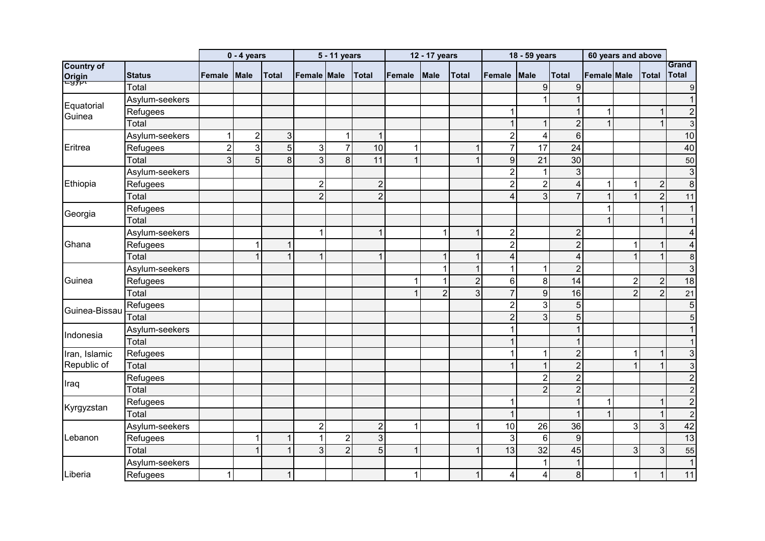|                             |                |                | $0 - 4$ years    |                |                | 5 - 11 years   |                |        | 12 - 17 years  |                |                | 18 - 59 years   |                  | 60 years and above |                |                         |                         |
|-----------------------------|----------------|----------------|------------------|----------------|----------------|----------------|----------------|--------|----------------|----------------|----------------|-----------------|------------------|--------------------|----------------|-------------------------|-------------------------|
| <b>Country of</b>           |                |                |                  |                |                |                |                |        |                |                |                |                 |                  |                    |                |                         | Grand                   |
| <mark>Origin</mark><br>⊏97P | <b>Status</b>  | Female         | Male             | <b>Total</b>   | Female Male    |                | <b>Total</b>   | Female | Male           | <b>Total</b>   | Female         | Male            | <b>Total</b>     | Female Male        |                | Total                   | <b>Total</b>            |
|                             | Total          |                |                  |                |                |                |                |        |                |                |                | 9               | 9                |                    |                |                         | $\boldsymbol{9}$        |
| Equatorial                  | Asylum-seekers |                |                  |                |                |                |                |        |                |                |                |                 |                  |                    |                |                         | $\mathbf{1}$            |
| Guinea                      | Refugees       |                |                  |                |                |                |                |        |                |                | 1              |                 |                  | 1                  |                | $\overline{1}$          | $\overline{c}$          |
|                             | Total          |                |                  |                |                |                |                |        |                |                | $\mathbf 1$    |                 | $\overline{2}$   | $\mathbf{1}$       |                |                         | $\mathbf{3}$            |
|                             | Asylum-seekers |                | $\boldsymbol{2}$ | $\mathbf{3}$   |                | 1              | $\mathbf{1}$   |        |                |                | $\overline{2}$ | 4               | $6 \overline{6}$ |                    |                |                         | 10                      |
| Eritrea                     | Refugees       | $\overline{2}$ | 3                | $\overline{5}$ | $\mathbf{3}$   | $\overline{7}$ | 10             | 1      |                | 1              | $\overline{7}$ | 17              | 24               |                    |                |                         | 40                      |
|                             | Total          | 3              | $\overline{5}$   | 8              | $\overline{3}$ | 8              | 11             | 1      |                | 1              | $\overline{9}$ | $\overline{21}$ | 30               |                    |                |                         | 50                      |
|                             | Asylum-seekers |                |                  |                |                |                |                |        |                |                | $\overline{2}$ | $\mathbf{1}$    | 3                |                    |                |                         | $\mathsf 3$             |
| Ethiopia                    | Refugees       |                |                  |                | $\overline{2}$ |                | $\overline{2}$ |        |                |                | $\overline{2}$ | $\overline{2}$  | 4                | $\mathbf 1$        | 1              | $\overline{2}$          | $\overline{8}$          |
|                             | Total          |                |                  |                | $\overline{2}$ |                | $\overline{2}$ |        |                |                | 4              | 3               |                  | $\mathbf{1}$       | $\overline{1}$ | $\overline{2}$          | 11                      |
| Georgia                     | Refugees       |                |                  |                |                |                |                |        |                |                |                |                 |                  | $\mathbf 1$        |                | $\mathbf{1}$            | $\mathbf{1}$            |
|                             | Total          |                |                  |                |                |                |                |        |                |                |                |                 |                  |                    |                | 1                       | $\mathbf{1}$            |
|                             | Asylum-seekers |                |                  |                | $\mathbf 1$    |                | $\mathbf{1}$   |        |                | 1              | $\overline{2}$ |                 | $\overline{2}$   |                    |                |                         | $\overline{\mathbf{4}}$ |
| Ghana                       | Refugees       |                | 1                |                |                |                |                |        |                |                | $\overline{2}$ |                 | $\overline{2}$   |                    | 1              |                         | 4                       |
|                             | Total          |                |                  | $\overline{1}$ | 1              |                | $\overline{1}$ |        |                |                | $\overline{4}$ |                 | 4                |                    | $\overline{1}$ | $\overline{1}$          | 8                       |
|                             | Asylum-seekers |                |                  |                |                |                |                |        |                |                | 1              |                 | $\overline{2}$   |                    |                |                         | $\mathbf{3}$            |
| Guinea                      | Refugees       |                |                  |                |                |                |                |        |                | $\overline{2}$ | $6\phantom{1}$ | 8               | 14               |                    | $\overline{2}$ | $\overline{2}$          | 18                      |
|                             | Total          |                |                  |                |                |                |                |        | $\overline{2}$ | 3              | $\overline{7}$ | $\overline{9}$  | 16               |                    | $\overline{2}$ | $\overline{2}$          | 21                      |
| Guinea-Bissau               | Refugees       |                |                  |                |                |                |                |        |                |                | $\overline{2}$ | $\overline{3}$  | 5                |                    |                |                         | $\overline{5}$          |
|                             | Total          |                |                  |                |                |                |                |        |                |                | $\overline{2}$ | $\overline{3}$  | 5 <sup>5</sup>   |                    |                |                         | 5                       |
|                             | Asylum-seekers |                |                  |                |                |                |                |        |                |                | 1              |                 |                  |                    |                |                         | $\mathbf{1}$            |
| Indonesia                   | Total          |                |                  |                |                |                |                |        |                |                | 1              |                 |                  |                    |                |                         | $\mathbf{1}$            |
| Iran, Islamic               | Refugees       |                |                  |                |                |                |                |        |                |                |                | 1               | $\overline{2}$   |                    | 1              | $\overline{\mathbf{1}}$ | $\mathbf{3}$            |
| Republic of                 | Total          |                |                  |                |                |                |                |        |                |                |                | $\mathbf{1}$    | $\overline{2}$   |                    | 1              |                         | 3                       |
|                             | Refugees       |                |                  |                |                |                |                |        |                |                |                | $\overline{2}$  | $\overline{2}$   |                    |                |                         | $\overline{c}$          |
| Iraq                        | Total          |                |                  |                |                |                |                |        |                |                |                | $\overline{2}$  | $\overline{2}$   |                    |                |                         | $\overline{2}$          |
|                             | Refugees       |                |                  |                |                |                |                |        |                |                | 1              |                 |                  | 1                  |                |                         | $\overline{c}$          |
| Kyrgyzstan                  | Total          |                |                  |                |                |                |                |        |                |                | $\mathbf{1}$   |                 |                  | $\mathbf{1}$       |                |                         | $\overline{2}$          |
|                             | Asylum-seekers |                |                  |                | $\overline{2}$ |                | $\overline{2}$ | 1      |                | 1              | 10             | 26              | 36               |                    | 3              | 3                       | 42                      |
| Lebanon                     | Refugees       |                | 1                | 1              | $\mathbf 1$    | $\overline{2}$ | 3              |        |                |                | 3              | $6\phantom{1}$  | 9                |                    |                |                         | 13                      |
|                             | Total          |                |                  |                | $\mathfrak{S}$ | $\overline{2}$ | 5              | 1      |                | 1              | 13             | 32              | 45               |                    | 3              | 3                       | 55                      |
|                             | Asylum-seekers |                |                  |                |                |                |                |        |                |                |                |                 |                  |                    |                |                         | $\mathbf{1}$            |
| Liberia                     | Refugees       |                |                  |                |                |                |                |        |                |                | 4              | 4               | 8                |                    | 1              | $\mathbf 1$             | 11                      |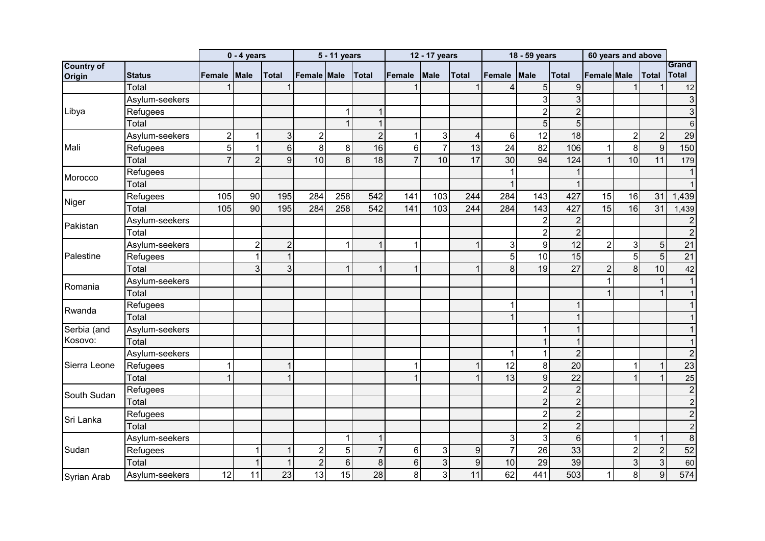|                    |                |                | $0 - 4$ years  |                |                | 5 - 11 years    |                |                | 12 - 17 years             |                 |                | 18 - 59 years    |                | 60 years and above |                           |                |                           |
|--------------------|----------------|----------------|----------------|----------------|----------------|-----------------|----------------|----------------|---------------------------|-----------------|----------------|------------------|----------------|--------------------|---------------------------|----------------|---------------------------|
| <b>Country of</b>  |                |                |                |                |                |                 |                |                |                           |                 |                |                  |                |                    |                           |                | Grand                     |
| Origin             | <b>Status</b>  | Female         | <b>Male</b>    | <b>Total</b>   | Female Male    |                 | <b>Total</b>   | Female         | Male                      | <b>Total</b>    | Female         | Male             | <b>Total</b>   | <b>Female Male</b> |                           | <b>Total</b>   | <b>Total</b>              |
|                    | Total          |                |                |                |                |                 |                |                |                           |                 | 4              | 5                | 9              |                    |                           |                | 12                        |
|                    | Asylum-seekers |                |                |                |                |                 |                |                |                           |                 |                | 3                | 3              |                    |                           |                | $\ensuremath{\mathsf{3}}$ |
| Libya              | Refugees       |                |                |                |                | 1               | $\mathbf 1$    |                |                           |                 |                | $\overline{2}$   | $\overline{2}$ |                    |                           |                | $\mathbf{3}$              |
|                    | Total          |                |                |                |                |                 |                |                |                           |                 |                | 5                | 5 <sup>1</sup> |                    |                           |                | $\,6$                     |
|                    | Asylum-seekers | $\overline{2}$ | 1              | 3              | $\overline{c}$ |                 | $\overline{2}$ | 1              | 3                         | 4               | 6              | 12               | 18             |                    | $\overline{2}$            | $\overline{2}$ | 29                        |
| Mali               | Refugees       | 5              |                | 6              | 8              | 8               | 16             | 6              | $\overline{7}$            | 13              | 24             | 82               | 106            | $\mathbf{1}$       | 8                         | $9\,$          | 150                       |
|                    | Total          |                | $\overline{2}$ | $\overline{9}$ | 10             | 8               | 18             | $\overline{7}$ | 10                        | $\overline{17}$ | 30             | 94               | 124            | 1                  | 10                        | 11             | 179                       |
| Morocco            | Refugees       |                |                |                |                |                 |                |                |                           |                 |                |                  |                |                    |                           |                | $\mathbf{1}$              |
|                    | Total          |                |                |                |                |                 |                |                |                           |                 | $\mathbf 1$    |                  | $\mathbf 1$    |                    |                           |                |                           |
| Niger              | Refugees       | 105            | 90             | 195            | 284            | 258             | 542            | 141            | 103                       | 244             | 284            | 143              | 427            | 15                 | 16                        | 31             | 1,439                     |
|                    | Total          | 105            | 90             | 195            | 284            | 258             | 542            | 141            | 103                       | 244             | 284            | 143              | 427            | 15                 | 16                        | 31             | 1,439                     |
| Pakistan           | Asylum-seekers |                |                |                |                |                 |                |                |                           |                 |                | 2                | $\overline{2}$ |                    |                           |                | $\boldsymbol{2}$          |
|                    | Total          |                |                |                |                |                 |                |                |                           |                 |                | $\overline{c}$   | $\overline{2}$ |                    |                           |                | $\sqrt{2}$                |
|                    | Asylum-seekers |                | $\overline{2}$ | $\overline{2}$ |                | 1               | $\overline{1}$ | 1              |                           | 1               | 3              | $\boldsymbol{9}$ | 12             | $\overline{2}$     | 3                         | 5              | 21                        |
| Palestine          | Refugees       |                | 1              | 1              |                |                 |                |                |                           |                 | 5              | 10               | 15             |                    | 5                         | $\overline{5}$ | $\overline{21}$           |
|                    | Total          |                | 3              | 3              |                |                 |                | 1              |                           |                 | 8              | 19               | 27             | $\overline{2}$     | 8                         | 10             | 42                        |
| Romania            | Asylum-seekers |                |                |                |                |                 |                |                |                           |                 |                |                  |                | 1                  |                           |                | $\mathbf{1}$              |
|                    | Total          |                |                |                |                |                 |                |                |                           |                 |                |                  |                |                    |                           |                | $\overline{1}$            |
| Rwanda             | Refugees       |                |                |                |                |                 |                |                |                           |                 | 1              |                  |                |                    |                           |                |                           |
|                    | Total          |                |                |                |                |                 |                |                |                           |                 | $\mathbf{1}$   |                  |                |                    |                           |                |                           |
| Serbia (and        | Asylum-seekers |                |                |                |                |                 |                |                |                           |                 |                |                  |                |                    |                           |                |                           |
| Kosovo:            | Total          |                |                |                |                |                 |                |                |                           |                 |                |                  | 1              |                    |                           |                | $\mathbf 1$               |
|                    | Asylum-seekers |                |                |                |                |                 |                |                |                           |                 | 1              |                  | $\overline{2}$ |                    |                           |                | $\boldsymbol{2}$          |
| Sierra Leone       | Refugees       |                |                |                |                |                 |                | 1              |                           | 1               | 12             | 8                | 20             |                    | 1                         | 1              | 23                        |
|                    | Total          |                |                |                |                |                 |                |                |                           |                 | 13             | 9                | 22             |                    | 1                         |                | 25                        |
| South Sudan        | Refugees       |                |                |                |                |                 |                |                |                           |                 |                | $\overline{2}$   | $\overline{2}$ |                    |                           |                | $\overline{2}$            |
|                    | Total          |                |                |                |                |                 |                |                |                           |                 |                | $\overline{2}$   | $\overline{2}$ |                    |                           |                | $\overline{c}$            |
| Sri Lanka          | Refugees       |                |                |                |                |                 |                |                |                           |                 |                | $\overline{2}$   | $\overline{c}$ |                    |                           |                | $\overline{2}$            |
|                    | Total          |                |                |                |                |                 |                |                |                           |                 |                | $\overline{2}$   | $\overline{2}$ |                    |                           |                | $\overline{c}$            |
|                    | Asylum-seekers |                |                |                |                |                 |                |                |                           |                 | 3              | 3                | 6              |                    | 1                         | 1              | $\overline{8}$            |
| Sudan              | Refugees       |                |                |                | $\mathbf 2$    | 5               | $\overline{7}$ | 6              | $\ensuremath{\mathsf{3}}$ | 9               | $\overline{7}$ | 26               | 33             |                    | $\mathbf 2$               | $\overline{2}$ | 52                        |
|                    | Total          |                |                | 1              | $\overline{2}$ | $6\phantom{1}6$ | 8              | 6              | 3                         | 9               | 10             | 29               | 39             |                    | $\ensuremath{\mathsf{3}}$ | $\overline{3}$ | 60                        |
| <b>Syrian Arab</b> | Asylum-seekers | 12             | 11             | 23             | 13             | 15              | 28             | 8              | 3                         | 11              | 62             | 441              | 503            | $\mathbf{1}$       | 8                         | 9              | 574                       |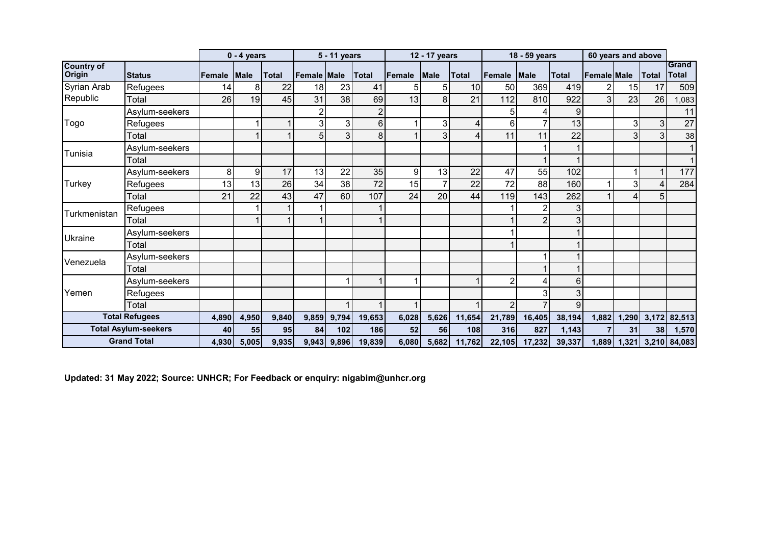|                             |                             |        | $0 - 4$ years |              |                    | 5 - 11 years |                |        | 12 - 17 years |              |                | 18 - 59 years |        |                    | 60 years and above |                 |                       |
|-----------------------------|-----------------------------|--------|---------------|--------------|--------------------|--------------|----------------|--------|---------------|--------------|----------------|---------------|--------|--------------------|--------------------|-----------------|-----------------------|
| <b>Country of</b><br>Origin | <b>Status</b>               | Female | <b>Male</b>   | <b>Total</b> | <b>Female Male</b> |              | <b>Total</b>   | Female | <b>Male</b>   | <b>Total</b> | Female         | <b>Male</b>   | Total  | <b>Female Male</b> |                    | <b>Total</b>    | Grand<br><b>Total</b> |
| Syrian Arab                 | Refugees                    | 14     | 8             | 22           | 18                 | 23           | 41             |        | 5             | 10           | 50             | 369           | 419    |                    | 15                 | 17              | 509                   |
| Republic                    | Total                       | 26     | 19            | 45           | 31                 | 38           | 69             | 13     | 8             | 21           | 112            | 810           | 922    | $\mathbf{3}$       | 23                 | 26              | ,083                  |
|                             | Asylum-seekers              |        |               |              | 2                  |              | $\overline{2}$ |        |               |              | 5              |               | 9      |                    |                    |                 | 11                    |
| Togo                        | Refugees                    |        |               |              | 3                  | 3            | 6              |        | 3             |              | 6              |               | 13     |                    | 3                  | 3 <sup>1</sup>  | 27                    |
|                             | Total                       |        |               |              | 5                  |              | 8              |        | 3             |              | 11             | 11            | 22     |                    | 3                  | $\overline{3}$  | 38                    |
| Tunisia                     | Asylum-seekers              |        |               |              |                    |              |                |        |               |              |                |               |        |                    |                    |                 |                       |
|                             | Total                       |        |               |              |                    |              |                |        |               |              |                |               |        |                    |                    |                 |                       |
|                             | Asylum-seekers              | 8      | 9             | 17           | 13                 | 22           | 35             | 9      | 13            | 22           | 47             | 55            | 102    |                    |                    | $\mathbf{1}$    | 177                   |
| Turkey                      | Refugees                    | 13     | 13            | 26           | 34                 | 38           | 72             | 15     |               | 22           | 72             | 88            | 160    |                    | 3                  | 4               | 284                   |
|                             | Total                       | 21     | 22            | 43           | 47                 | 60           | 107            | 24     | 20            | 44           | 119            | 143           | 262    |                    | 4                  | 5               |                       |
| Turkmenistan                | Refugees                    |        |               |              |                    |              |                |        |               |              |                |               | 3      |                    |                    |                 |                       |
|                             | Total                       |        |               |              |                    |              |                |        |               |              |                |               | 3      |                    |                    |                 |                       |
| <b>Ukraine</b>              | Asylum-seekers              |        |               |              |                    |              |                |        |               |              |                |               |        |                    |                    |                 |                       |
|                             | Total                       |        |               |              |                    |              |                |        |               |              |                |               |        |                    |                    |                 |                       |
| Venezuela                   | Asylum-seekers              |        |               |              |                    |              |                |        |               |              |                |               |        |                    |                    |                 |                       |
|                             | Total                       |        |               |              |                    |              |                |        |               |              |                |               |        |                    |                    |                 |                       |
|                             | Asylum-seekers              |        |               |              |                    |              |                |        |               |              | $\overline{2}$ |               | 6      |                    |                    |                 |                       |
| Yemen                       | Refugees                    |        |               |              |                    |              |                |        |               |              |                |               | 3      |                    |                    |                 |                       |
|                             | Total                       |        |               |              |                    |              |                |        |               |              | 2              |               | 9      |                    |                    |                 |                       |
|                             | <b>Total Refugees</b>       | 4,890  | 4,950         | 9,840        | 9,859              | 9,794        | 19,653         | 6,028  | 5,626         | 11,654       | 21.789         | 16,405        | 38,194 | 1,882              | 1,290              | 3,172           | 82,513                |
|                             | <b>Total Asylum-seekers</b> | 40     | 55            | 95           | 84                 | 102          | 186            | 52     | 56            | 108          | 316            | 827           | 1,143  |                    | 31                 | 38 <sup>1</sup> | 1,570                 |
|                             | <b>Grand Total</b>          | 4,930  | 5,005         | 9,935        |                    | 9,943 9,896  | 19,839         | 6,080  | 5,682         | 11,762       | 22,105         | 17,232        | 39,337 | 1,889              |                    |                 | 1,321 3,210 84,083    |

**Updated: 31 May 2022; Source: UNHCR; For Feedback or enquiry: nigabim@unhcr.org**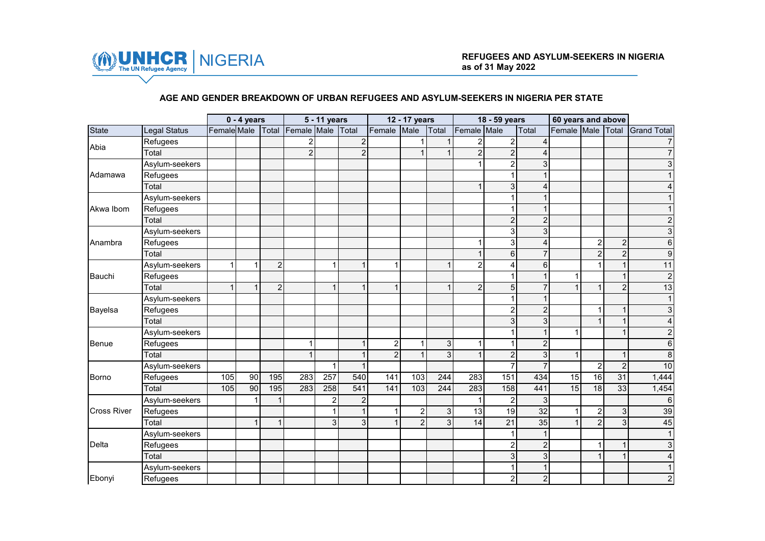

### **AGE AND GENDER BREAKDOWN OF URBAN REFUGEES AND ASYLUM-SEEKERS IN NIGERIA PER STATE**

|                    | $0 - 4$ years  |             |    |                |                   | 5 - 11 years   |                |                | 12 - 17 years  |                |                | 18 - 59 years  |                        | 60 years and above |                |                |                    |
|--------------------|----------------|-------------|----|----------------|-------------------|----------------|----------------|----------------|----------------|----------------|----------------|----------------|------------------------|--------------------|----------------|----------------|--------------------|
| State              | Legal Status   | Female Male |    |                | Total Female Male |                | Total          | Female         | Male           | Total          | Female Male    |                | Total                  | Female Male        |                | <b>Total</b>   | <b>Grand Total</b> |
| Abia               | Refugees       |             |    |                | $\overline{c}$    |                | $\overline{c}$ |                |                |                | 2              | $\overline{2}$ | $\boldsymbol{\Lambda}$ |                    |                |                |                    |
|                    | Total          |             |    |                | $\overline{c}$    |                | $\overline{2}$ |                | 1              | $\mathbf{1}$   | $\overline{2}$ | $\overline{2}$ | 4                      |                    |                |                |                    |
|                    | Asylum-seekers |             |    |                |                   |                |                |                |                |                |                | $\overline{c}$ | 3                      |                    |                |                |                    |
| Adamawa            | Refugees       |             |    |                |                   |                |                |                |                |                |                |                | 1                      |                    |                |                |                    |
|                    | Total          |             |    |                |                   |                |                |                |                |                | 1              | 3              | 4                      |                    |                |                |                    |
|                    | Asylum-seekers |             |    |                |                   |                |                |                |                |                |                | 1              | 1                      |                    |                |                |                    |
| Akwa Ibom          | Refugees       |             |    |                |                   |                |                |                |                |                |                | 1              | 1                      |                    |                |                |                    |
|                    | Total          |             |    |                |                   |                |                |                |                |                |                | $\overline{c}$ | $\sqrt{2}$             |                    |                |                |                    |
|                    | Asylum-seekers |             |    |                |                   |                |                |                |                |                |                | 3              | $\sqrt{3}$             |                    |                |                |                    |
| Anambra            | Refugees       |             |    |                |                   |                |                |                |                |                |                | 3              | 4                      |                    | $\overline{c}$ | $\overline{2}$ | 6                  |
|                    | Total          |             |    |                |                   |                |                |                |                |                |                | $6\phantom{.}$ | $\overline{7}$         |                    | $\overline{2}$ | $\overline{2}$ | 9                  |
|                    | Asylum-seekers | 1           | 1  | $\overline{c}$ |                   | 4              |                |                |                | $\mathbf{1}$   | $\overline{2}$ | 4              | $6\phantom{1}$         |                    |                |                | 11                 |
| Bauchi             | Refugees       |             |    |                |                   |                |                |                |                |                |                | 1              | $\mathbf{1}$           | 1                  |                | $\mathbf{1}$   | $\overline{c}$     |
|                    | Total          | 1           | 1  | $\overline{c}$ |                   |                |                |                |                | 1              | $\overline{2}$ | 5              | $\overline{7}$         | $\overline{1}$     |                | $\overline{2}$ | 13                 |
|                    | Asylum-seekers |             |    |                |                   |                |                |                |                |                |                | 1              | 1                      |                    |                |                |                    |
| Bayelsa            | Refugees       |             |    |                |                   |                |                |                |                |                |                | $\overline{2}$ | $\overline{c}$         |                    |                | $\mathbf 1$    | 3                  |
|                    | Total          |             |    |                |                   |                |                |                |                |                |                | 3              | 3                      |                    |                | $\mathbf 1$    |                    |
|                    | Asylum-seekers |             |    |                |                   |                |                |                |                |                |                |                | 1                      | 1                  |                |                | 2                  |
| <b>Benue</b>       | Refugees       |             |    |                | 1                 |                | 1              | $\overline{a}$ | 1              | 3 <sup>1</sup> | 1              | 1              | $\overline{c}$         |                    |                |                | 6                  |
|                    | Total          |             |    |                | $\overline{1}$    |                |                | $\overline{2}$ | $\overline{1}$ | $\overline{3}$ | $\mathbf{1}$   | $\overline{2}$ | 3                      | $\mathbf{1}$       |                | $\mathbf{1}$   | 8                  |
|                    | Asylum-seekers |             |    |                |                   |                |                |                |                |                |                | $\overline{7}$ | $\overline{7}$         |                    | $\overline{2}$ | $\overline{2}$ | 10                 |
| Borno              | Refugees       | 105         | 90 | 195            | 283               | 257            | 540            | 141            | 103            | 244            | 283            | 151            | 434                    | 15                 | 16             | 31             | 1,444              |
|                    | Total          | 105         | 90 | 195            | 283               | 258            | 541            | 141            | 103            | 244            | 283            | 158            | 441                    | 15                 | 18             | 33             | 1,454              |
|                    | Asylum-seekers |             |    | 1              |                   | $\overline{2}$ | $\overline{2}$ |                |                |                |                | 2              | 3                      |                    |                |                | 6                  |
| <b>Cross River</b> | Refugees       |             |    |                |                   |                |                |                | $\overline{2}$ | 3              | 13             | 19             | 32                     | 1                  | $\overline{2}$ | 3 <sup>1</sup> | 39                 |
|                    | Total          |             | 1  | $\mathbf{1}$   |                   | 3              | 3              |                | $\overline{2}$ | $\overline{3}$ | 14             | 21             | 35                     |                    | $\overline{2}$ | 3 <sup>1</sup> | 45                 |
|                    | Asylum-seekers |             |    |                |                   |                |                |                |                |                |                |                | $\overline{1}$         |                    |                |                |                    |
| Delta              | Refugees       |             |    |                |                   |                |                |                |                |                |                | $\overline{2}$ | $\overline{c}$         |                    |                | $\mathbf 1$    |                    |
|                    | Total          |             |    |                |                   |                |                |                |                |                |                | 3              | $\mathbf{3}$           |                    |                |                |                    |
|                    | Asylum-seekers |             |    |                |                   |                |                |                |                |                |                |                | $\mathbf 1$            |                    |                |                |                    |
| Ebonyi             | Refugees       |             |    |                |                   |                |                |                |                |                |                | $\overline{2}$ | $\overline{2}$         |                    |                |                | 2                  |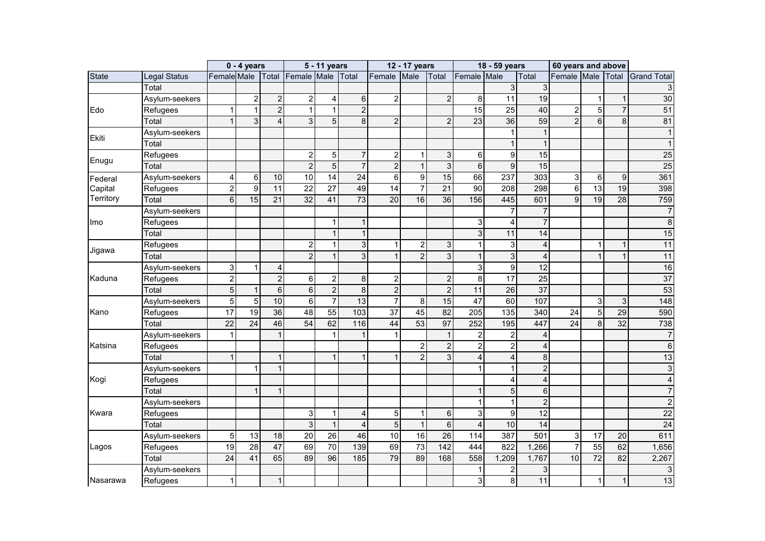|              |                |                 | $0 - 4$ years  |                 |                                     | 5 - 11 years     |                 |                 | 12 - 17 years    |                 |                    | 18 - 59 years           |                 | 60 years and above |                  |                 |                    |
|--------------|----------------|-----------------|----------------|-----------------|-------------------------------------|------------------|-----------------|-----------------|------------------|-----------------|--------------------|-------------------------|-----------------|--------------------|------------------|-----------------|--------------------|
| <b>State</b> | Legal Status   |                 |                |                 | Female Male Total Female Male Total |                  |                 | Female          | Male             | Total           | <b>Female</b> Male |                         | Total           | Female Male        |                  | Total           | <b>Grand Total</b> |
|              | Total          |                 |                |                 |                                     |                  |                 |                 |                  |                 |                    | 3                       | 3               |                    |                  |                 | 3                  |
|              | Asylum-seekers |                 | $\overline{c}$ | $\overline{c}$  | $\sqrt{2}$                          | $\overline{4}$   | $\,6\,$         | $\overline{2}$  |                  | $\overline{c}$  | 8                  | 11                      | 19              |                    | 1                | $\mathbf 1$     | 30                 |
| Edo          | Refugees       | $\mathbf{1}$    | 1              | $\overline{2}$  | $\mathbf{1}$                        | $\mathbf{1}$     | $\overline{2}$  |                 |                  |                 | 15                 | 25                      | 40              | $\overline{c}$     | $\overline{5}$   | $\overline{7}$  | 51                 |
|              | Total          | $\mathbf{1}$    | 3              | 4               | 3                                   | 5                | 8               | $\overline{2}$  |                  | $\overline{2}$  | 23                 | 36                      | 59              | $\overline{2}$     | $6 \overline{6}$ | 8               | 81                 |
| <b>Ekiti</b> | Asylum-seekers |                 |                |                 |                                     |                  |                 |                 |                  |                 |                    |                         | $\overline{1}$  |                    |                  |                 | $\mathbf{1}$       |
|              | Total          |                 |                |                 |                                     |                  |                 |                 |                  |                 |                    | 1                       | $\overline{1}$  |                    |                  |                 |                    |
| Enugu        | Refugees       |                 |                |                 | $\boldsymbol{2}$                    | $\mathbf 5$      | $\overline{7}$  | $\overline{c}$  | 1                | 3               | 6                  | 9                       | 15              |                    |                  |                 | 25                 |
|              | Total          |                 |                |                 | $\overline{2}$                      | 5                | $\overline{7}$  | $\overline{2}$  | $\overline{1}$   | $\overline{3}$  | $6\phantom{1}$     | 9                       | 15              |                    |                  |                 | 25                 |
| Federal      | Asylum-seekers | 4               | 6              | 10              | 10                                  | 14               | 24              | 6 <sup>1</sup>  | 9                | 15              | 66                 | 237                     | 303             | 3                  | 6                | $\overline{9}$  | 361                |
| Capital      | Refugees       | $\overline{c}$  | 9              | 11              | $\overline{22}$                     | 27               | 49              | 14              | $\overline{7}$   | $\overline{21}$ | 90                 | 208                     | 298             | $6\,$              | $\overline{13}$  | 19              | 398                |
| Territory    | Total          | $6\phantom{a}$  | 15             | $\overline{21}$ | $\overline{32}$                     | 41               | $\overline{73}$ | $\overline{20}$ | 16               | $\overline{36}$ | 156                | 445                     | 601             | $\overline{9}$     | 19               | $\overline{28}$ | 759                |
|              | Asylum-seekers |                 |                |                 |                                     |                  |                 |                 |                  |                 |                    |                         | 7               |                    |                  |                 | $\overline{7}$     |
| Imo          | Refugees       |                 |                |                 |                                     | $\mathbf{1}$     |                 |                 |                  |                 | 3                  | 4                       | $\overline{7}$  |                    |                  |                 | 8                  |
|              | Total          |                 |                |                 |                                     | $\mathbf{1}$     | $\mathbf{1}$    |                 |                  |                 | 3                  | 11                      | 14              |                    |                  |                 | 15                 |
|              | Refugees       |                 |                |                 | $\boldsymbol{2}$                    | $\mathbf{1}$     | 3               | 1               | $\boldsymbol{2}$ | 3               | 1                  | 3                       | 4               |                    | $\mathbf 1$      | 1               | 11                 |
| Jigawa       | Total          |                 |                |                 | $\overline{2}$                      | $\mathbf{1}$     | $\mathbf{3}$    | $\mathbf{1}$    | $\overline{2}$   | $\overline{3}$  | $\mathbf{1}$       | $\overline{3}$          | $\overline{4}$  |                    | $\mathbf{1}$     | $\mathbf{1}$    | 11                 |
|              | Asylum-seekers | 3               | 1              | $\overline{4}$  |                                     |                  |                 |                 |                  |                 | 3                  | 9                       | 12              |                    |                  |                 | 16                 |
| Kaduna       | Refugees       | $\overline{c}$  |                | $\overline{2}$  | $\,6\,$                             | $\boldsymbol{2}$ | 8               | $\overline{c}$  |                  | $\overline{c}$  | 8                  | $\overline{17}$         | $\overline{25}$ |                    |                  |                 | 37                 |
|              | Total          | $\overline{5}$  | 1              | $6\phantom{1}$  | $\overline{6}$                      | $\overline{2}$   | 8               | $\overline{2}$  |                  | $\overline{2}$  | 11                 | 26                      | 37              |                    |                  |                 | 53                 |
|              | Asylum-seekers | $\overline{5}$  | 5              | 10              | $\overline{6}$                      | $\overline{7}$   | 13              | $\overline{7}$  | 8                | 15              | 47                 | 60                      | 107             |                    | 3                | 3               | 148                |
| Kano         | Refugees       | 17              | 19             | 36              | 48                                  | 55               | 103             | $\overline{37}$ | 45               | 82              | $\overline{205}$   | 135                     | 340             | $\overline{24}$    | $\overline{5}$   | 29              | 590                |
|              | Total          | $\overline{22}$ | 24             | 46              | 54                                  | 62               | 116             | 44              | 53               | 97              | 252                | 195                     | 447             | $\overline{24}$    | 8                | $\overline{32}$ | 738                |
|              | Asylum-seekers | 1               |                | $\mathbf{1}$    |                                     | 1                |                 |                 |                  | 1               | 2                  | $\overline{2}$          | $\overline{4}$  |                    |                  |                 | $\overline{7}$     |
| Katsina      | Refugees       |                 |                |                 |                                     |                  |                 |                 | 2                | $\overline{2}$  | 2                  | $\overline{2}$          | $\overline{4}$  |                    |                  |                 | 6                  |
|              | Total          | $\mathbf{1}$    |                | $\mathbf{1}$    |                                     | $\mathbf{1}$     | 1               |                 | $\overline{2}$   | $\overline{3}$  | 4                  | $\overline{\mathbf{4}}$ | $\, 8$          |                    |                  |                 | 13                 |
|              | Asylum-seekers |                 | 1              | $\mathbf{1}$    |                                     |                  |                 |                 |                  |                 |                    | 1                       | $\overline{2}$  |                    |                  |                 | 3                  |
| Kogi         | Refugees       |                 |                |                 |                                     |                  |                 |                 |                  |                 |                    | 4                       | $\overline{4}$  |                    |                  |                 |                    |
|              | Total          |                 | 1              | $\mathbf{1}$    |                                     |                  |                 |                 |                  |                 |                    | 5                       | $6\phantom{1}$  |                    |                  |                 |                    |
|              | Asylum-seekers |                 |                |                 |                                     |                  |                 |                 |                  |                 |                    | 1                       | $\overline{2}$  |                    |                  |                 |                    |
| Kwara        | Refugees       |                 |                |                 | 3                                   | $\mathbf{1}$     | 4               | 5 <sub>5</sub>  | $\mathbf{1}$     | $\,6\,$         | 3                  | 9                       | $\overline{12}$ |                    |                  |                 | $\overline{22}$    |
|              | Total          |                 |                |                 | $\overline{3}$                      | $\mathbf{1}$     | $\overline{4}$  | $\overline{5}$  | $\overline{1}$   | $\overline{6}$  | 4                  | 10                      | $\overline{14}$ |                    |                  |                 | $\overline{24}$    |
|              | Asylum-seekers | 5               | 13             | 18              | 20                                  | 26               | 46              | 10              | 16               | 26              | 114                | 387                     | 501             | 3                  | 17               | 20              | 611                |
| Lagos        | Refugees       | 19              | 28             | 47              | 69                                  | 70               | 139             | 69              | 73               | 142             | 444                | 822                     | 1,266           | $\overline{7}$     | 55               | 62              | 1,656              |
|              | Total          | 24              | 41             | 65              | 89                                  | 96               | 185             | 79              | 89               | 168             | 558                | 1,209                   | 1,767           | 10                 | $\overline{72}$  | $\overline{82}$ | 2,267              |
|              | Asylum-seekers |                 |                |                 |                                     |                  |                 |                 |                  |                 |                    | $\overline{c}$          | 3               |                    |                  |                 | 3                  |
| Nasarawa     | Refugees       | $\mathbf{1}$    |                | $\mathbf{1}$    |                                     |                  |                 |                 |                  |                 | 3                  | 8                       | 11              |                    | $\mathbf{1}$     | $\mathbf{1}$    | 13                 |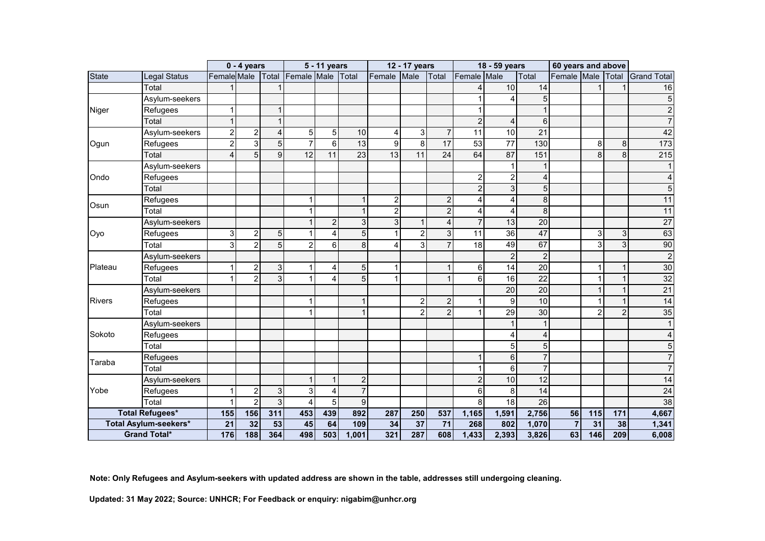|               |                        |                  | $0 - 4$ years  |                |                         | 5 - 11 years   |                |                | 12 - 17 years  |                         |                         | 18 - 59 years   |                  | 60 years and above |                   |                |                    |
|---------------|------------------------|------------------|----------------|----------------|-------------------------|----------------|----------------|----------------|----------------|-------------------------|-------------------------|-----------------|------------------|--------------------|-------------------|----------------|--------------------|
| <b>State</b>  | Legal Status           | Female Male      |                | Total          | Female Male             |                | <b>Total</b>   | Female         | Male           | Total                   | Female Male             |                 | Total            | Female Male        |                   | <b>Total</b>   | <b>Grand Total</b> |
|               | Total                  |                  |                |                |                         |                |                |                |                |                         | 4                       | 10              | 14               |                    |                   |                | 16                 |
|               | Asylum-seekers         |                  |                |                |                         |                |                |                |                |                         | 1                       | $\overline{4}$  | 5                |                    |                   |                | 5                  |
| Niger         | Refugees               | 1                |                | $\overline{1}$ |                         |                |                |                |                |                         | 1                       |                 |                  |                    |                   |                | $\overline{c}$     |
|               | Total                  | $\mathbf{1}$     |                | 1              |                         |                |                |                |                |                         | $\overline{c}$          | $\overline{4}$  | $6 \overline{6}$ |                    |                   |                |                    |
|               | Asylum-seekers         | $\boldsymbol{2}$ | $\sqrt{2}$     | 4              | 5                       | $\mathbf 5$    | 10             | 4              | 3              | $\overline{7}$          | 11                      | 10              | 21               |                    |                   |                | 42                 |
| Ogun          | Refugees               | $\overline{2}$   | $\overline{3}$ | 5              | $\overline{7}$          | $6\phantom{1}$ | 13             | 9              | 8              | $\overline{17}$         | 53                      | 77              | 130              |                    | 8                 | 8 <sup>1</sup> | 173                |
|               | Total                  | 4                | 5              | 9              | 12                      | 11             | 23             | 13             | 11             | 24                      | 64                      | 87              | 151              |                    | 8                 | 8 <sup>1</sup> | $\overline{215}$   |
|               | Asylum-seekers         |                  |                |                |                         |                |                |                |                |                         |                         |                 |                  |                    |                   |                |                    |
| Ondo          | Refugees               |                  |                |                |                         |                |                |                |                |                         | $\overline{\mathbf{c}}$ | $\overline{c}$  | $\overline{4}$   |                    |                   |                |                    |
|               | Total                  |                  |                |                |                         |                |                |                |                |                         | $\overline{2}$          | $\mathfrak{S}$  | 5                |                    |                   |                | 5                  |
| Osun          | Refugees               |                  |                |                | 1                       |                |                | 2              |                | $\overline{c}$          | 4                       | $\overline{4}$  | 8                |                    |                   |                | 11                 |
|               | Total                  |                  |                |                | 1                       |                |                | $\overline{c}$ |                | $\overline{2}$          | 4                       | $\overline{4}$  | 8                |                    |                   |                | 11                 |
|               | Asylum-seekers         |                  |                |                | $\mathbf{1}$            | $\overline{c}$ | 3              | $\mathbf{3}$   | 1              | $\overline{\mathbf{4}}$ | $\overline{7}$          | 13              | $\overline{20}$  |                    |                   |                | $\overline{27}$    |
| Oyo           | Refugees               | 3                | $\overline{2}$ | 5              | 1                       | 4              | 5              |                | $\overline{c}$ | $\overline{3}$          | 11                      | $\overline{36}$ | 47               |                    | 3 <sup>1</sup>    | 3 <sup>1</sup> | 63                 |
|               | Total                  | 3                | $\overline{2}$ | 5              | $\overline{c}$          | 6              | 8              | 4              | 3              | $\overline{7}$          | 18                      | 49              | 67               |                    | 3                 | $\overline{3}$ | 90                 |
|               | Asylum-seekers         |                  |                |                |                         |                |                |                |                |                         |                         | $\overline{c}$  | $\overline{c}$   |                    |                   |                | $\overline{c}$     |
| Plateau       | Refugees               | 1                | $\overline{c}$ | 3              | 1                       | 4              | 5              | 1              |                | $\mathbf 1$             | 6                       | 14              | $\overline{20}$  |                    | 1                 | 1              | 30                 |
|               | Total                  | 1                | $\overline{2}$ | 3              | $\mathbf{1}$            | 4              | 5              | $\mathbf{1}$   |                | $\mathbf{1}$            | 6                       | 16              | 22               |                    |                   | $\mathbf{1}$   | 32                 |
|               | Asylum-seekers         |                  |                |                |                         |                |                |                |                |                         |                         | $\overline{20}$ | 20               |                    |                   | $\mathbf{1}$   | 21                 |
| <b>Rivers</b> | Refugees               |                  |                |                | 1                       |                |                |                | $\overline{2}$ | $\boldsymbol{2}$        | 1                       | 9               | 10               |                    |                   | 1              | 14                 |
|               | Total                  |                  |                |                | 1                       |                |                |                | $\overline{2}$ | $\overline{2}$          | 1                       | $\overline{29}$ | 30               |                    | 2                 | $\overline{2}$ | 35                 |
|               | Asylum-seekers         |                  |                |                |                         |                |                |                |                |                         |                         |                 | $\overline{1}$   |                    |                   |                |                    |
| Sokoto        | Refugees               |                  |                |                |                         |                |                |                |                |                         |                         | 4               | 4                |                    |                   |                |                    |
|               | Total                  |                  |                |                |                         |                |                |                |                |                         |                         | 5               | 5                |                    |                   |                | 5                  |
| Taraba        | Refugees               |                  |                |                |                         |                |                |                |                |                         | 1                       | $6\phantom{1}$  | $\overline{7}$   |                    |                   |                | 7                  |
|               | Total                  |                  |                |                |                         |                |                |                |                |                         | 1                       | 6               | $\overline{7}$   |                    |                   |                | $\overline{7}$     |
|               | Asylum-seekers         |                  |                |                | $\mathbf{1}$            | $\mathbf{1}$   | $\overline{c}$ |                |                |                         | $\overline{2}$          | 10              | 12               |                    |                   |                | $\overline{14}$    |
| Yobe          | Refugees               | 1                | $\overline{c}$ | 3              | $\overline{3}$          | $\overline{4}$ | $\overline{7}$ |                |                |                         | 6                       | 8               | 14               |                    |                   |                | $\overline{24}$    |
|               | Total                  | 1                | $\overline{c}$ | $\overline{3}$ | $\overline{\mathbf{4}}$ | $\overline{5}$ | 9              |                |                |                         | 8                       | $\overline{18}$ | $\overline{26}$  |                    |                   |                | $\overline{38}$    |
|               | <b>Total Refugees*</b> | 155              | 156            | 311            | 453                     | 439            | 892            | 287            | 250            | 537                     | 1,165                   | 1,591           | 2,756            | 56                 | $\frac{115}{115}$ | 171            | 4,667              |
|               | Total Asylum-seekers*  | 21               | 32             | 53             | 45                      | 64             | 109            | 34             | 37             | 71                      | 268                     | 802             | 1,070            | $\overline{7}$     | 31                | 38             | 1,341              |
|               | <b>Grand Total*</b>    | 176              | 188            | 364            | 498                     | 503            | 1,001          | 321            | 287            | 608                     | 1,433                   | 2,393           | 3,826            | 63                 | 146               | 209            | 6,008              |

**Note: Only Refugees and Asylum-seekers with updated address are shown in the table, addresses still undergoing cleaning.**

**Updated: 31 May 2022; Source: UNHCR; For Feedback or enquiry: nigabim@unhcr.org**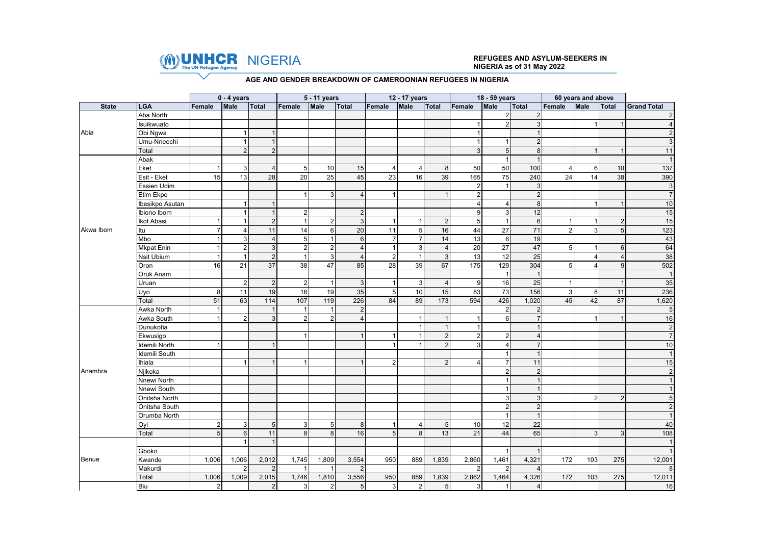

# NIGERIA **REFUGEES AND ASYLUM-SEEKERS IN NIGERIA as of 31 May 2022**

#### **AGE AND GENDER BREAKDOWN OF CAMEROONIAN REFUGEES IN NIGERIA**

|              |                   |                | $0 - 4$ years  |                |                         | 5 - 11 years    |                 |                | 12 - 17 years  |                |                  | 18 - 59 years  |                         |                | 60 years and above |                |                    |
|--------------|-------------------|----------------|----------------|----------------|-------------------------|-----------------|-----------------|----------------|----------------|----------------|------------------|----------------|-------------------------|----------------|--------------------|----------------|--------------------|
| <b>State</b> | <b>LGA</b>        | Female         | Male           | <b>Total</b>   | Female                  | Male            | <b>Total</b>    | Female         | Male           | Total          | Female           | <b>Male</b>    | <b>Total</b>            | Female         | Male               | <b>Total</b>   | <b>Grand Total</b> |
|              | Aba North         |                |                |                |                         |                 |                 |                |                |                |                  | 2              | $\overline{2}$          |                |                    |                | $\overline{2}$     |
|              | Isuikwuato        |                |                |                |                         |                 |                 |                |                |                |                  | $\mathfrak{p}$ | 3                       |                |                    |                | $\Delta$           |
| Abia         | Obi Ngwa          |                |                | $\overline{1}$ |                         |                 |                 |                |                |                |                  |                |                         |                |                    |                |                    |
|              | Umu-Nneochi       |                |                | $\mathbf{1}$   |                         |                 |                 |                |                |                | $\overline{1}$   |                | $\overline{2}$          |                |                    |                |                    |
|              | Total             |                | $\overline{2}$ | $\overline{2}$ |                         |                 |                 |                |                |                | 3                | 5              | 8                       |                |                    |                | 11                 |
|              | Abak              |                |                |                |                         |                 |                 |                |                |                |                  |                |                         |                |                    |                |                    |
|              | Eket              |                | 3              | $\overline{4}$ | 5                       | 10              | 15              | $\overline{4}$ | 4              | 8              | 50               | 50             | 100                     | 4              | 6                  | 10             | 137                |
|              | Esit - Eket       | 15             | 13             | 28             | 20                      | 25              | 45              | 23             | 16             | 39             | 165              | 75             | 240                     | 24             | 14                 | 38             | 390                |
|              | Essien Udim       |                |                |                |                         |                 |                 |                |                |                | $\boldsymbol{2}$ |                | 3                       |                |                    |                | $\mathsf 3$        |
|              | Etim Ekpo         |                |                |                | $\mathbf{1}$            | 3               | $\overline{4}$  |                |                |                | $\overline{2}$   |                | $\overline{2}$          |                |                    |                | $\overline{7}$     |
|              | Ibesikpo Asutan   |                | $\overline{1}$ | $\overline{1}$ |                         |                 |                 |                |                |                | $\overline{4}$   | 4              | 8                       |                |                    |                | 10                 |
|              | Ibiono Ibom       |                |                | $\overline{1}$ | $\boldsymbol{2}$        |                 | $\overline{2}$  |                |                |                | 9                | 3              | 12                      |                |                    |                | 15                 |
|              | Ikot Abasi        |                |                | $\overline{c}$ | $\mathbf{1}$            | $\overline{2}$  | $\mathbf{3}$    | -1             |                | $\overline{2}$ | $\sqrt{5}$       | $\overline{1}$ | $6\,$                   |                |                    | $\overline{2}$ | 15                 |
| Akwa Ibom    | Itu               |                | $\Delta$       | 11             | 14                      | $6 \,$          | 20              | 11             | 5              | 16             | 44               | 27             | 71                      | $\overline{2}$ | 3                  | 5              | 123                |
|              | Mbo               |                | 3              | $\overline{4}$ | $\,$ 5 $\,$             |                 | $\,6\,$         | $\overline{7}$ | $\overline{7}$ | 14             | 13               | 6              | 19                      |                |                    |                | 43                 |
|              | <b>Mkpat Enin</b> |                | $\overline{2}$ | $\overline{3}$ | $\overline{2}$          | $\overline{2}$  | $\overline{4}$  | $\overline{1}$ | 3              | $\overline{4}$ | 20               | 27             | 47                      | 5              |                    | $6\phantom{1}$ | 64                 |
|              | Nsit Ubium        |                | $\overline{1}$ | $\overline{2}$ | $\mathbf{1}$            | $\mathbf{3}$    | $\overline{4}$  | $\overline{2}$ | $\overline{1}$ | $\mathbf{3}$   | 13               | 12             | 25                      |                | $\Delta$           | $\overline{4}$ | 38                 |
|              | Oron              | 16             | 21             | 37             | 38                      | 47              | 85              | 28             | 39             | 67             | 175              | 129            | 304                     | 5              |                    | 9              | 502                |
|              | Oruk Anam         |                |                |                |                         |                 |                 |                |                |                |                  | -1             | $\overline{\mathbf{1}}$ |                |                    |                |                    |
|              | Uruan             |                | $\overline{2}$ | $\overline{2}$ | $\overline{2}$          |                 | $\mathbf{3}$    | $\overline{1}$ | 3              | $\overline{4}$ | 9                | 16             | 25                      | $\overline{1}$ |                    |                | 35                 |
|              | Uyo               | 8              | 11             | 19             | 16                      | 19              | 35              | 5              | 10             | 15             | 83               | 73             | 156                     | 3              | 8                  | 11             | 236                |
|              | Total             | 51             | 63             | 114            | 107                     | 119             | 226             | 84             | 89             | 173            | 594              | 426            | 1,020                   | 45             | 42                 | 87             | 1,620              |
|              | Awka North        |                |                | $\overline{1}$ | $\mathbf{1}$            |                 | $\overline{2}$  |                |                |                |                  | $\overline{2}$ | $\overline{2}$          |                |                    |                | $\overline{5}$     |
|              | Awka South        |                | $\overline{2}$ | 3              | $\overline{\mathbf{c}}$ | $\overline{2}$  | $\overline{4}$  |                |                |                |                  | 6              |                         |                |                    |                | 16                 |
|              | Dunukofia         |                |                |                |                         |                 |                 |                |                | $\overline{1}$ | $\overline{1}$   |                |                         |                |                    |                | $\overline{c}$     |
|              | Ekwusigo          |                |                |                | $\mathbf{1}$            |                 |                 |                |                | $\sqrt{2}$     | $\sqrt{2}$       | $\overline{2}$ | $\overline{4}$          |                |                    |                | $\overline{7}$     |
|              | Idemili North     |                |                |                |                         |                 |                 |                |                | $\overline{2}$ | 3                | 4              | $\overline{7}$          |                |                    |                | $10$               |
|              | Idemili South     |                |                |                |                         |                 |                 |                |                |                |                  |                | $\overline{\mathbf{1}}$ |                |                    |                |                    |
|              | Ihiala            |                | $\mathbf{1}$   | $\overline{1}$ | $\overline{1}$          |                 |                 | 2              |                | 2              | $\overline{4}$   | $\overline{7}$ | 11                      |                |                    |                | 15                 |
| Anambra      | Njikoka           |                |                |                |                         |                 |                 |                |                |                |                  | $\mathfrak{p}$ | $\overline{2}$          |                |                    |                | $\overline{c}$     |
|              | Nnewi North       |                |                |                |                         |                 |                 |                |                |                |                  |                |                         |                |                    |                |                    |
|              | Nnewi South       |                |                |                |                         |                 |                 |                |                |                |                  |                |                         |                |                    |                |                    |
|              | Onitsha North     |                |                |                |                         |                 |                 |                |                |                |                  | 3              | 3                       |                | $\mathfrak{p}$     | $\overline{2}$ | 5                  |
|              | Onitsha South     |                |                |                |                         |                 |                 |                |                |                |                  |                | $\overline{2}$          |                |                    |                | $\mathfrak{p}$     |
|              | Orumba North      |                |                |                |                         |                 |                 |                |                |                |                  |                |                         |                |                    |                |                    |
|              | Oyi               | $\overline{2}$ | 3              | 5              | 3                       | $5\overline{)}$ | 8               |                | 4              | $\overline{5}$ | 10               | 12             | 22                      |                |                    |                | 40                 |
|              | Total             | 5              | 6              | 11             | 8                       | 8               | 16              | 5              | 8              | 13             | 21               | 44             | 65                      |                | 3                  | 3              | 108                |
|              |                   |                | $\overline{1}$ | $\overline{1}$ |                         |                 |                 |                |                |                |                  |                |                         |                |                    |                |                    |
|              | Gboko             |                |                |                |                         |                 |                 |                |                |                |                  |                |                         |                |                    |                |                    |
| Benue        | Kwande            | 1,006          | 1,006          | 2,012          | 1,745                   | 1,809           | 3,554           | 950            | 889            | 1,839          | 2,860            | 1,461          | 4,321                   | 172            | 103                | 275            | 12,001             |
|              | Makurdi           |                | $\overline{2}$ | $\overline{2}$ | $\overline{1}$          |                 | $\overline{2}$  |                |                |                | $\mathcal{P}$    | $\mathcal{P}$  | $\overline{4}$          |                |                    |                | 8                  |
|              | Total             | 1,006          | 1,009          | 2,015          | 1,746                   | 1,810           | 3,556           | 950            | 889            | 1,839          | 2,862            | 1,464          | 4,326                   | 172            | 103                | 275            | 12,011             |
|              | Biu               | $\overline{2}$ |                | $\overline{c}$ | 3                       | $\overline{2}$  | $5\overline{)}$ | 3              | $\overline{c}$ | 5              | $\mathbf{3}$     | $\mathbf{1}$   | $\overline{4}$          |                |                    |                | 16                 |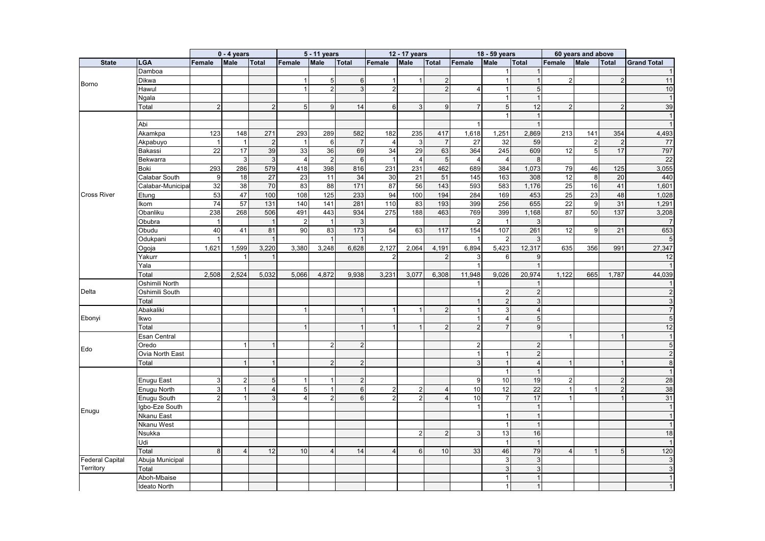|                        |                    |                | $0 - 4$ years  |                |                | 5 - 11 years     |                 |                 | 12 - 17 years  |                 |                                  | 18 - 59 years            |                                  |                | 60 years and above |                |                     |
|------------------------|--------------------|----------------|----------------|----------------|----------------|------------------|-----------------|-----------------|----------------|-----------------|----------------------------------|--------------------------|----------------------------------|----------------|--------------------|----------------|---------------------|
| <b>State</b>           | <b>LGA</b>         | Female         | <b>Male</b>    | <b>Total</b>   | Female         | <b>Male</b>      | Total           | Female          | <b>Male</b>    | <b>Total</b>    | <b>Female</b>                    | <b>Male</b>              | <b>Total</b>                     | Female         | <b>Male</b>        | <b>Total</b>   | <b>Grand Total</b>  |
|                        | Damboa             |                |                |                |                |                  |                 |                 |                |                 |                                  | $\overline{1}$           | $\overline{1}$                   |                |                    |                |                     |
| Borno                  | Dikwa              |                |                |                | $\mathbf{1}$   | $5\phantom{.0}$  | 6               | $\overline{1}$  |                | $\overline{2}$  |                                  | -1                       | $\overline{1}$                   | $\overline{2}$ |                    | $\overline{2}$ | 11                  |
|                        | Hawul              |                |                |                | $\mathbf{1}$   | 2 <sup>1</sup>   | 3               | $\overline{2}$  |                | $\overline{2}$  | $\overline{4}$                   | $\overline{1}$           | 5                                |                |                    |                | 10                  |
|                        | Ngala              |                |                |                |                |                  |                 |                 |                |                 |                                  | $\overline{1}$           | $\overline{1}$                   |                |                    |                |                     |
|                        | Total              | 2              |                | $\overline{2}$ | $\overline{5}$ | 9 <sup>1</sup>   | 14              | $6\phantom{1}6$ | $\mathbf{3}$   | 9               | $\overline{7}$                   | 5                        | 12                               | $\overline{2}$ |                    | $\overline{2}$ | 39                  |
|                        |                    |                |                |                |                |                  |                 |                 |                |                 |                                  | $\overline{1}$           | $\overline{1}$                   |                |                    |                |                     |
|                        | Abi                |                |                |                |                |                  |                 |                 |                |                 |                                  |                          | $\overline{1}$                   |                |                    |                |                     |
|                        | Akamkpa            | 123            | 148            | 271            | 293            | 289              | 582             | 182             | 235            | 417             | 1,618                            | 1,251                    | 2,869                            | 213            | 141                | 354            | 4,493               |
|                        | Akpabuyo           | $\overline{1}$ | $\mathbf{1}$   | $\overline{2}$ | $\overline{1}$ | $6 \overline{6}$ | $\overline{7}$  | $\overline{4}$  | $\mathbf{3}$   | $\overline{7}$  | $\overline{27}$                  | 32                       | 59                               |                | $\overline{2}$     | $\overline{2}$ | 77                  |
|                        | Bakassi            | 22             | 17             | 39             | 33             | 36               | 69              | 34              | 29             | 63              | 364                              | 245                      | 609                              | 12             | 5                  | 17             | 797                 |
|                        | Bekwarra           |                | $\mathbf{3}$   | $\mathbf{3}$   | $\overline{4}$ | $\overline{2}$   | $6\phantom{1}6$ | $\mathbf{1}$    | $\overline{4}$ | $5\overline{)}$ | $\overline{4}$                   | $\overline{4}$           | 8                                |                |                    |                | 22                  |
|                        | <b>Boki</b>        | 293            | 286            | 579            | 418            | 398              | 816             | 231             | 231            | 462             | 689                              | 384                      | 1,073                            | 79             | 46                 | 125            | 3,055               |
|                        | Calabar South      | 9              | 18             | 27             | 23             | 11               | 34              | 30              | 21             | 51              | 145                              | 163                      | 308                              | 12             | 8                  | 20             | 440                 |
|                        | Calabar-Municipal  | 32             | 38             | 70             | 83             | 88               | 171             | 87              | 56             | 143             | 593                              | 583                      | 1,176                            | 25             | 16                 | 41             | 1,601               |
| <b>Cross River</b>     | Etung              | 53             | 47             | 100            | 108            | 125              | 233             | 94              | 100            | 194             | 284                              | 169                      | 453                              | 25             | 23                 | 48             | 1,028               |
|                        | Ikom               | 74             | 57             | 131            | 140            | 141              | 281             | 110             | 83             | 193             | 399                              | 256                      | 655                              | 22             | 9                  | 31             | 1,291               |
|                        | Obanliku           | 238            | 268            | 506            | 491            | 443              | 934             | 275             | 188            | 463             | 769                              | 399                      | 1,168                            | 87             | 50                 | 137            | 3,208               |
|                        | Obubra             | $\overline{1}$ |                | $\mathbf{1}$   | $\overline{2}$ | $\overline{1}$   | 3               |                 |                |                 | $\overline{2}$                   | $\overline{1}$           | 3                                |                |                    |                |                     |
|                        | Obudu              | 40             | 41             | 81             | 90             | 83               | 173             | 54              | 63             | 117             | 154                              | 107                      | 261                              | 12             | 9                  | 21             | 653                 |
|                        | Odukpani           | $\overline{1}$ |                | $\mathbf{1}$   |                |                  | $\mathbf{1}$    |                 |                |                 |                                  | $\overline{2}$           | 3                                |                |                    |                |                     |
|                        | Ogoja              | 1,621          | 1,599          | 3,220          | 3,380          | 3,248            | 6,628           | 2,127           | 2,064          | 4,191           | 6,894                            | 5,423                    | 12,317                           | 635            | 356                | 991            | 27,347              |
|                        | Yakurr             |                | 1              | $\mathbf{1}$   |                |                  |                 | $\overline{2}$  |                | $\overline{2}$  | 3                                | 6                        | 9                                |                |                    |                | 12                  |
|                        | Yala               |                |                |                |                |                  |                 |                 |                |                 | $\overline{1}$                   |                          | $\overline{1}$                   |                |                    |                |                     |
|                        | Total              | 2,508          | 2,524          | 5,032          | 5,066          | 4,872            | 9,938           | 3,231           | 3,077          | 6,308           | 11,948                           | 9,026                    | 20,974                           | 1,122          | 665                | 1,787          | 44,039              |
|                        | Oshimili North     |                |                |                |                |                  |                 |                 |                |                 |                                  |                          | -1                               |                |                    |                |                     |
| Delta                  | Oshimili South     |                |                |                |                |                  |                 |                 |                |                 |                                  | $\overline{2}$           | $\overline{2}$                   |                |                    |                |                     |
|                        | Total              |                |                |                |                |                  |                 |                 |                |                 | $\mathbf{1}$                     | $\overline{2}$           | 3                                |                |                    |                |                     |
|                        | Abakaliki          |                |                |                | -1             |                  | $\mathbf{1}$    | $\mathbf 1$     |                | $\overline{2}$  | $\mathbf{1}$                     | 3                        | $\overline{4}$                   |                |                    |                |                     |
| Ebonyi                 |                    |                |                |                |                |                  |                 |                 |                |                 | $\mathbf{1}$                     | $\overline{4}$           | 5                                |                |                    |                | 5                   |
|                        | Ikwo               |                |                |                |                |                  |                 |                 |                | $\mathfrak{p}$  | $\mathcal{P}$                    |                          | 9                                |                |                    |                | 12                  |
|                        | Total              |                |                |                |                |                  |                 |                 |                |                 |                                  |                          |                                  | $\overline{1}$ |                    |                |                     |
|                        | Esan Central       |                |                |                |                |                  |                 |                 |                |                 |                                  |                          |                                  |                |                    |                |                     |
| Edo                    | Oredo              |                | $\overline{1}$ |                |                | $\overline{2}$   | $\overline{2}$  |                 |                |                 | $\overline{2}$<br>$\overline{1}$ |                          | $\overline{2}$                   |                |                    |                | 5                   |
|                        | Ovia North East    |                |                |                |                |                  |                 |                 |                |                 | 3                                |                          | $\overline{2}$<br>$\overline{4}$ |                |                    |                | $\overline{2}$<br>8 |
|                        | Total              |                | $\mathbf 1$    |                |                | $\overline{2}$   | $\overline{2}$  |                 |                |                 |                                  | $\overline{1}$           |                                  | $\mathbf{1}$   |                    |                |                     |
|                        |                    |                |                |                |                |                  |                 |                 |                |                 |                                  | $\overline{\phantom{a}}$ | $\overline{1}$                   |                |                    |                |                     |
|                        | <b>Enugu East</b>  | 3              | $\overline{2}$ | $\sqrt{5}$     | -1             |                  | $\overline{2}$  |                 |                |                 | 9                                | 10                       | 19                               | $\overline{2}$ |                    | $\overline{2}$ | 28                  |
|                        | <b>Enugu North</b> | 3              | $\mathbf{1}$   | $\overline{4}$ | 5              |                  | $6\phantom{1}6$ | $\overline{2}$  | 2              | $\overline{4}$  | 10                               | 12                       | 22                               | $\overline{1}$ |                    | $\overline{2}$ | 38                  |
|                        | Enugu South        | $\overline{2}$ | 1              | 3              | $\overline{4}$ | $\overline{2}$   | $6\phantom{1}6$ | $\overline{2}$  | $\overline{2}$ | $\overline{A}$  | 10                               | $\overline{7}$           | 17                               | $\overline{1}$ |                    |                | 31                  |
| Enugu                  | Igbo-Eze South     |                |                |                |                |                  |                 |                 |                |                 | $\overline{1}$                   |                          | $\overline{1}$                   |                |                    |                |                     |
|                        | <b>Nkanu East</b>  |                |                |                |                |                  |                 |                 |                |                 |                                  |                          | $\overline{1}$                   |                |                    |                |                     |
|                        | Nkanu West         |                |                |                |                |                  |                 |                 |                |                 |                                  | -1                       | $\overline{1}$                   |                |                    |                |                     |
|                        | Nsukka             |                |                |                |                |                  |                 |                 | 2              | $\overline{2}$  | 3                                | 13                       | 16                               |                |                    |                | 18                  |
|                        | Udi                |                |                |                |                |                  |                 |                 |                |                 |                                  | $\overline{\mathbf{1}}$  | $\overline{1}$                   |                |                    |                |                     |
|                        | Total              | 8              | 4              | 12             | 10             | $\overline{4}$   | 14              | $\overline{4}$  | 6              | 10              | 33                               | 46                       | 79                               | $\overline{4}$ | -1                 | 5              | $\overline{120}$    |
| <b>Federal Capital</b> | Abuja Municipal    |                |                |                |                |                  |                 |                 |                |                 |                                  | 3                        | 3                                |                |                    |                | 3                   |
| Territory              | Total              |                |                |                |                |                  |                 |                 |                |                 |                                  | 3                        | 3                                |                |                    |                | 3                   |
|                        | Aboh-Mbaise        |                |                |                |                |                  |                 |                 |                |                 |                                  |                          | $\overline{1}$                   |                |                    |                |                     |
|                        | Ideato North       |                |                |                |                |                  |                 |                 |                |                 |                                  |                          | $\overline{1}$                   |                |                    |                |                     |